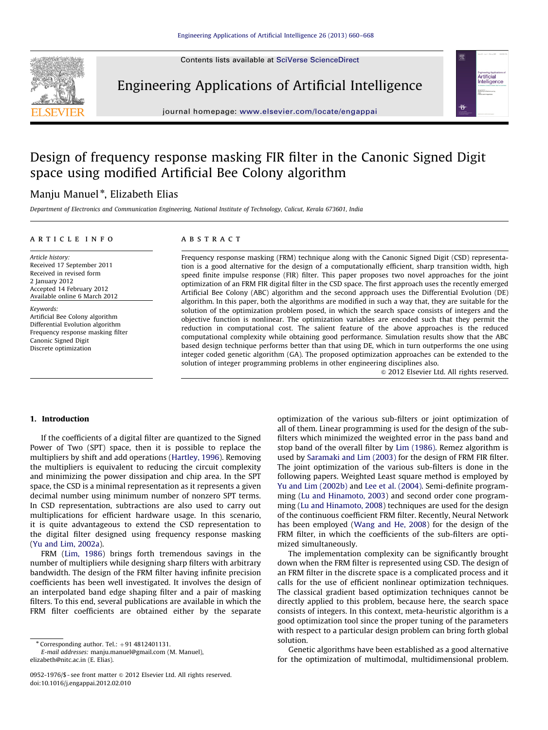Contents lists available at [SciVerse ScienceDirect](www.elsevier.com/locate/engappai)



Engineering Applications of Artificial Intelligence



journal homepage: <www.elsevier.com/locate/engappai>

## Design of frequency response masking FIR filter in the Canonic Signed Digit space using modified Artificial Bee Colony algorithm

### Manju Manuel<sup>\*</sup>, Elizabeth Elias

Department of Electronics and Communication Engineering, National Institute of Technology, Calicut, Kerala 673601, India

#### article info

Received 17 September 2011 Received in revised form 2 January 2012

Accepted 14 February 2012 Available online 6 March 2012

Artificial Bee Colony algorithm Differential Evolution algorithm Frequency response masking filter

Article history:

Keywords:

**ABSTRACT** 

Frequency response masking (FRM) technique along with the Canonic Signed Digit (CSD) representation is a good alternative for the design of a computationally efficient, sharp transition width, high speed finite impulse response (FIR) filter. This paper proposes two novel approaches for the joint optimization of an FRM FIR digital filter in the CSD space. The first approach uses the recently emerged Artificial Bee Colony (ABC) algorithm and the second approach uses the Differential Evolution (DE) algorithm. In this paper, both the algorithms are modified in such a way that, they are suitable for the solution of the optimization problem posed, in which the search space consists of integers and the objective function is nonlinear. The optimization variables are encoded such that they permit the reduction in computational cost. The salient feature of the above approaches is the reduced computational complexity while obtaining good performance. Simulation results show that the ABC based design technique performs better than that using DE, which in turn outperforms the one using integer coded genetic algorithm (GA). The proposed optimization approaches can be extended to the solution of integer programming problems in other engineering disciplines also.

 $\odot$  2012 Elsevier Ltd. All rights reserved.

#### 1. Introduction

Canonic Signed Digit Discrete optimization

If the coefficients of a digital filter are quantized to the Signed Power of Two (SPT) space, then it is possible to replace the multipliers by shift and add operations ([Hartley, 1996](#page--1-0)). Removing the multipliers is equivalent to reducing the circuit complexity and minimizing the power dissipation and chip area. In the SPT space, the CSD is a minimal representation as it represents a given decimal number using minimum number of nonzero SPT terms. In CSD representation, subtractions are also used to carry out multiplications for efficient hardware usage. In this scenario, it is quite advantageous to extend the CSD representation to the digital filter designed using frequency response masking ([Yu and Lim, 2002a](#page--1-0)).

FRM [\(Lim, 1986](#page--1-0)) brings forth tremendous savings in the number of multipliers while designing sharp filters with arbitrary bandwidth. The design of the FRM filter having infinite precision coefficients has been well investigated. It involves the design of an interpolated band edge shaping filter and a pair of masking filters. To this end, several publications are available in which the FRM filter coefficients are obtained either by the separate optimization of the various sub-filters or joint optimization of all of them. Linear programming is used for the design of the subfilters which minimized the weighted error in the pass band and stop band of the overall filter by [Lim \(1986\)](#page--1-0). Remez algorithm is used by [Saramaki and Lim \(2003\)](#page--1-0) for the design of FRM FIR filter. The joint optimization of the various sub-filters is done in the following papers. Weighted Least square method is employed by [Yu and Lim \(2002b\)](#page--1-0) and [Lee et al. \(2004\)](#page--1-0). Semi-definite programming ([Lu and Hinamoto, 2003](#page--1-0)) and second order cone programming ([Lu and Hinamoto, 2008](#page--1-0)) techniques are used for the design of the continuous coefficient FRM filter. Recently, Neural Network has been employed ([Wang and He, 2008\)](#page--1-0) for the design of the FRM filter, in which the coefficients of the sub-filters are optimized simultaneously.

The implementation complexity can be significantly brought down when the FRM filter is represented using CSD. The design of an FRM filter in the discrete space is a complicated process and it calls for the use of efficient nonlinear optimization techniques. The classical gradient based optimization techniques cannot be directly applied to this problem, because here, the search space consists of integers. In this context, meta-heuristic algorithm is a good optimization tool since the proper tuning of the parameters with respect to a particular design problem can bring forth global solution.

Genetic algorithms have been established as a good alternative for the optimization of multimodal, multidimensional problem.

 $*$  Corresponding author. Tel.:  $+91$  4812401131.

E-mail addresses: [manju.manuel@gmail.com \(M. Manuel\),](mailto:manju.manuel@gmail.com) [elizabeth@nitc.ac.in \(E. Elias\)](mailto:elizabeth@nitc.ac.in).

<sup>0952-1976/\$ -</sup> see front matter @ 2012 Elsevier Ltd. All rights reserved. doi:[10.1016/j.engappai.2012.02.010](dx.doi.org/10.1016/j.engappai.2012.02.010)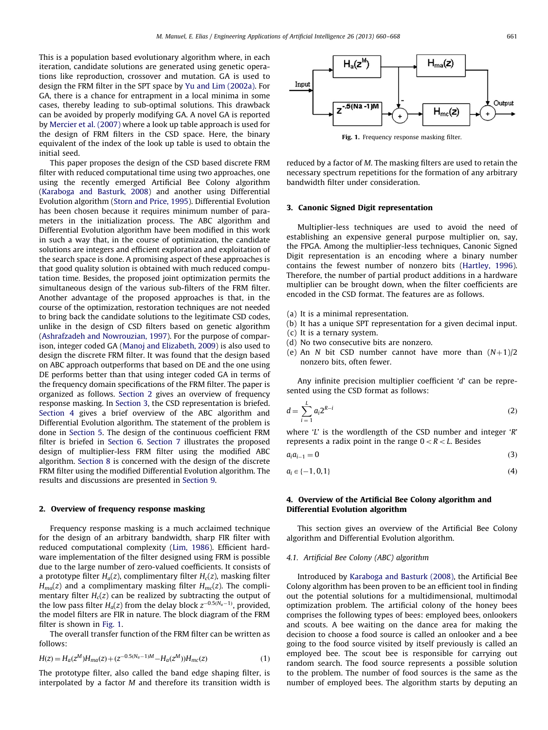This is a population based evolutionary algorithm where, in each iteration, candidate solutions are generated using genetic operations like reproduction, crossover and mutation. GA is used to design the FRM filter in the SPT space by [Yu and Lim \(2002a\).](#page--1-0) For GA, there is a chance for entrapment in a local minima in some cases, thereby leading to sub-optimal solutions. This drawback can be avoided by properly modifying GA. A novel GA is reported by [Mercier et al. \(2007\)](#page--1-0) where a look up table approach is used for the design of FRM filters in the CSD space. Here, the binary equivalent of the index of the look up table is used to obtain the initial seed.

This paper proposes the design of the CSD based discrete FRM filter with reduced computational time using two approaches, one using the recently emerged Artificial Bee Colony algorithm ([Karaboga and Basturk, 2008](#page--1-0)) and another using Differential Evolution algorithm ([Storn and Price, 1995\)](#page--1-0). Differential Evolution has been chosen because it requires minimum number of parameters in the initialization process. The ABC algorithm and Differential Evolution algorithm have been modified in this work in such a way that, in the course of optimization, the candidate solutions are integers and efficient exploration and exploitation of the search space is done. A promising aspect of these approaches is that good quality solution is obtained with much reduced computation time. Besides, the proposed joint optimization permits the simultaneous design of the various sub-filters of the FRM filter. Another advantage of the proposed approaches is that, in the course of the optimization, restoration techniques are not needed to bring back the candidate solutions to the legitimate CSD codes, unlike in the design of CSD filters based on genetic algorithm ([Ashrafzadeh and Nowrouzian, 1997\)](#page--1-0). For the purpose of comparison, integer coded GA [\(Manoj and Elizabeth, 2009](#page--1-0)) is also used to design the discrete FRM filter. It was found that the design based on ABC approach outperforms that based on DE and the one using DE performs better than that using integer coded GA in terms of the frequency domain specifications of the FRM filter. The paper is organized as follows. Section 2 gives an overview of frequency response masking. In Section 3, the CSD representation is briefed. Section 4 gives a brief overview of the ABC algorithm and Differential Evolution algorithm. The statement of the problem is done in [Section 5](#page--1-0). The design of the continuous coefficient FRM filter is briefed in [Section 6.](#page--1-0) [Section 7](#page--1-0) illustrates the proposed design of multiplier-less FRM filter using the modified ABC algorithm. [Section 8](#page--1-0) is concerned with the design of the discrete FRM filter using the modified Differential Evolution algorithm. The results and discussions are presented in [Section 9.](#page--1-0)

#### 2. Overview of frequency response masking

Frequency response masking is a much acclaimed technique for the design of an arbitrary bandwidth, sharp FIR filter with reduced computational complexity ([Lim, 1986\)](#page--1-0). Efficient hardware implementation of the filter designed using FRM is possible due to the large number of zero-valued coefficients. It consists of a prototype filter  $H<sub>o</sub>(z)$ , complimentary filter  $H<sub>c</sub>(z)$ , masking filter  $H_{ma}(z)$  and a complimentary masking filter  $H_{mc}(z)$ . The complimentary filter  $H_c(z)$  can be realized by subtracting the output of the low pass filter  $H_a(z)$  from the delay block  $z^{-0.5(N_a-1)}$ , provided, the model filters are FIR in nature. The block diagram of the FRM filter is shown in Fig. 1.

The overall transfer function of the FRM filter can be written as follows:

$$
H(z) = H_a(z^M)H_{ma}(z) + (z^{-0.5(N_a - 1)M} - H_a(z^M))H_{mc}(z)
$$
\n(1)

The prototype filter, also called the band edge shaping filter, is interpolated by a factor M and therefore its transition width is



Fig. 1. Frequency response masking filter.

reduced by a factor of M. The masking filters are used to retain the necessary spectrum repetitions for the formation of any arbitrary bandwidth filter under consideration.

#### 3. Canonic Signed Digit representation

Multiplier-less techniques are used to avoid the need of establishing an expensive general purpose multiplier on, say, the FPGA. Among the multiplier-less techniques, Canonic Signed Digit representation is an encoding where a binary number contains the fewest number of nonzero bits ([Hartley, 1996\)](#page--1-0). Therefore, the number of partial product additions in a hardware multiplier can be brought down, when the filter coefficients are encoded in the CSD format. The features are as follows.

- (a) It is a minimal representation.
- (b) It has a unique SPT representation for a given decimal input.
- (c) It is a ternary system.
- (d) No two consecutive bits are nonzero.
- (e) An N bit CSD number cannot have more than  $(N+1)/2$ nonzero bits, often fewer.

Any infinite precision multiplier coefficient 'd' can be represented using the CSD format as follows:

$$
d = \sum_{i=1}^{L} a_i 2^{R-i} \tag{2}
$$

where 'L' is the wordlength of the CSD number and integer 'R' represents a radix point in the range  $0 < R < L$ . Besides

$$
a_i a_{i-1} = 0 \tag{3}
$$

$$
a_i \in \{-1, 0, 1\} \tag{4}
$$

#### 4. Overview of the Artificial Bee Colony algorithm and Differential Evolution algorithm

This section gives an overview of the Artificial Bee Colony algorithm and Differential Evolution algorithm.

#### 4.1. Artificial Bee Colony (ABC) algorithm

Introduced by [Karaboga and Basturk \(2008\)](#page--1-0), the Artificial Bee Colony algorithm has been proven to be an efficient tool in finding out the potential solutions for a multidimensional, multimodal optimization problem. The artificial colony of the honey bees comprises the following types of bees: employed bees, onlookers and scouts. A bee waiting on the dance area for making the decision to choose a food source is called an onlooker and a bee going to the food source visited by itself previously is called an employed bee. The scout bee is responsible for carrying out random search. The food source represents a possible solution to the problem. The number of food sources is the same as the number of employed bees. The algorithm starts by deputing an